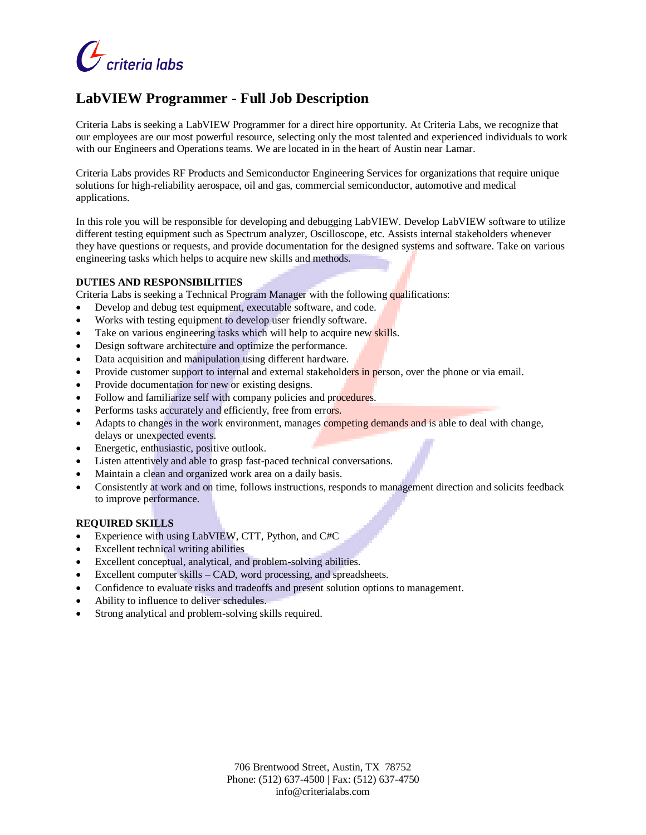

# **LabVIEW Programmer - Full Job Description**

Criteria Labs is seeking a LabVIEW Programmer for a direct hire opportunity. At Criteria Labs, we recognize that our employees are our most powerful resource, selecting only the most talented and experienced individuals to work with our Engineers and Operations teams. We are located in in the heart of Austin near Lamar.

Criteria Labs provides RF Products and Semiconductor Engineering Services for organizations that require unique solutions for high-reliability aerospace, oil and gas, commercial semiconductor, automotive and medical applications.

In this role you will be responsible for developing and debugging LabVIEW. Develop LabVIEW software to utilize different testing equipment such as Spectrum analyzer, Oscilloscope, etc. Assists internal stakeholders whenever they have questions or requests, and provide documentation for the designed systems and software. Take on various engineering tasks which helps to acquire new skills and methods.

#### **DUTIES AND RESPONSIBILITIES**

Criteria Labs is seeking a Technical Program Manager with the following qualifications:

- Develop and debug test equipment, executable software, and code.
- Works with testing equipment to develop user friendly software.
- Take on various engineering tasks which will help to acquire new skills.
- Design software architecture and optimize the performance.
- Data acquisition and manipulation using different hardware.
- Provide customer support to internal and external stakeholders in person, over the phone or via email.
- Provide documentation for new or existing designs.
- Follow and familiarize self with company policies and procedures.
- Performs tasks accurately and efficiently, free from errors.
- Adapts to changes in the work environment, manages competing demands and is able to deal with change, delays or unexpected events.
- Energetic, enthusiastic, positive outlook.
- Listen attentively and able to grasp fast-paced technical conversations.
- Maintain a clean and organized work area on a daily basis.
- Consistently at work and on time, follows instructions, responds to management direction and solicits feedback to improve performance.

#### **REQUIRED SKILLS**

- Experience with using LabVIEW, CTT, Python, and C#C
- Excellent technical writing abilities
- Excellent conceptual, analytical, and problem-solving abilities.
- Excellent computer skills CAD, word processing, and spreadsheets.
- Confidence to evaluate risks and tradeoffs and present solution options to management.
- Ability to influence to deliver schedules.
- Strong analytical and problem-solving skills required.